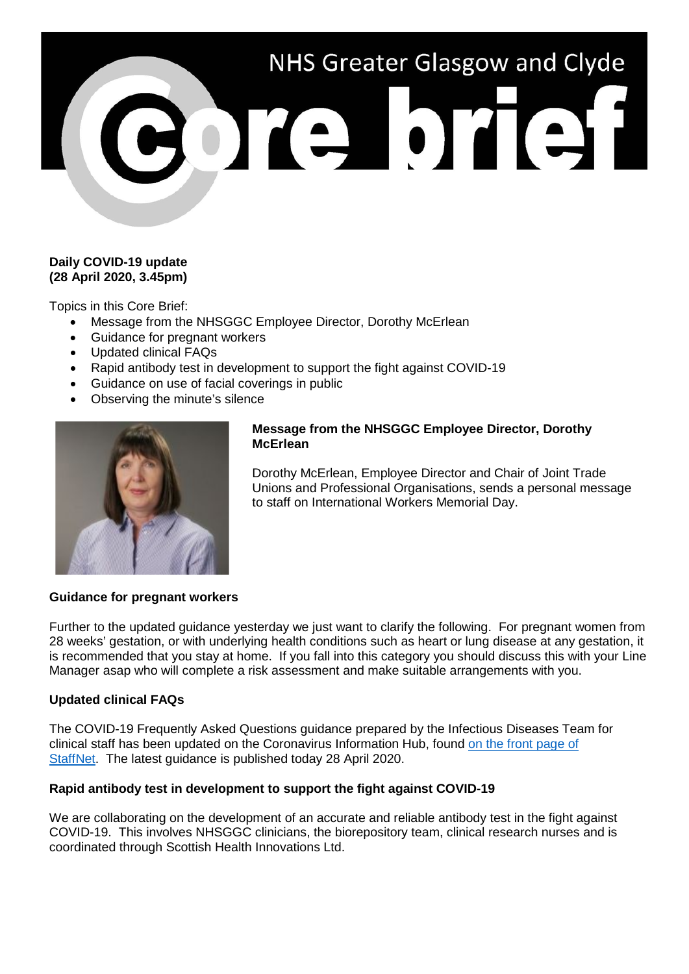# NHS Greater Glasgow and Clyde 3013101131

# **Daily COVID-19 update (28 April 2020, 3.45pm)**

Topics in this Core Brief:

- Message from the NHSGGC Employee Director, Dorothy McErlean
- Guidance for pregnant workers
- Updated clinical FAQs
- Rapid antibody test in development to support the fight against COVID-19
- Guidance on use of facial coverings in public
- Observing the minute's silence



## **Message from the NHSGGC Employee Director, Dorothy McErlean**

Dorothy McErlean, Employee Director and Chair of Joint Trade Unions and Professional Organisations, sends a personal message to staff on International Workers Memorial Day.

## **Guidance for pregnant workers**

Further to the updated guidance yesterday we just want to clarify the following. For pregnant women from 28 weeks' gestation, or with underlying health conditions such as heart or lung disease at any gestation, it is recommended that you stay at home. If you fall into this category you should discuss this with your Line Manager asap who will complete a risk assessment and make suitable arrangements with you.

## **Updated clinical FAQs**

The COVID-19 Frequently Asked Questions guidance prepared by the Infectious Diseases Team for clinical staff has been updated on the Coronavirus Information Hub, found [on the front page of](http://www.staffnet.ggc.scot.nhs.uk/Corporate%20Services/Communications/Hot%20Topics/Pages/comms_CoronavirusInformationHub_mb110220.aspx)  [StaffNet.](http://www.staffnet.ggc.scot.nhs.uk/Corporate%20Services/Communications/Hot%20Topics/Pages/comms_CoronavirusInformationHub_mb110220.aspx) The latest guidance is published today 28 April 2020.

## **Rapid antibody test in development to support the fight against COVID-19**

We are collaborating on the development of an accurate and reliable antibody test in the fight against COVID-19. This involves NHSGGC clinicians, the biorepository team, clinical research nurses and is coordinated through Scottish Health Innovations Ltd.